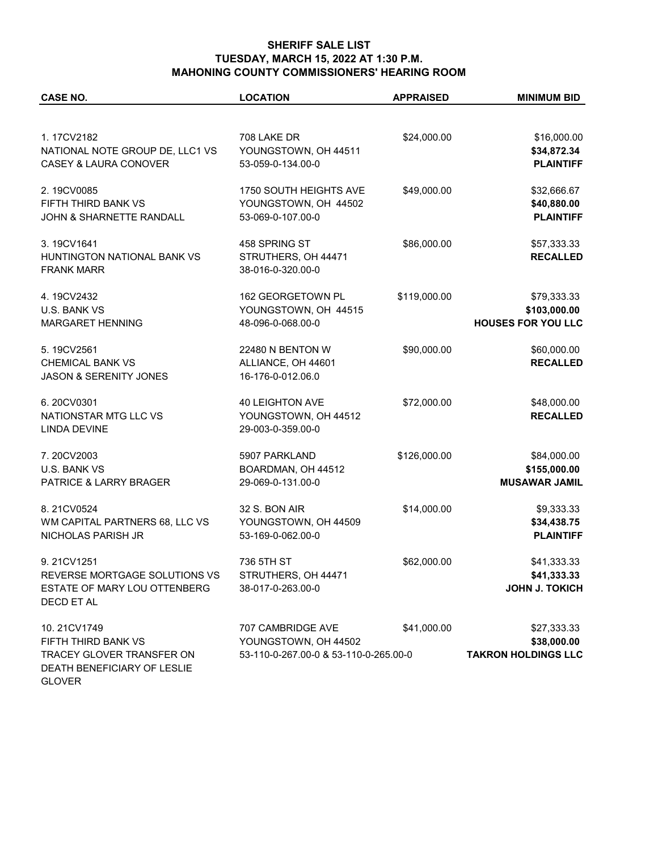## **SHERIFF SALE LIST TUESDAY, MARCH 15, 2022 AT 1:30 P.M. MAHONING COUNTY COMMISSIONERS' HEARING ROOM**

| <b>CASE NO.</b>                                          | <b>LOCATION</b>                       | <b>APPRAISED</b> | <b>MINIMUM BID</b>         |
|----------------------------------------------------------|---------------------------------------|------------------|----------------------------|
|                                                          |                                       |                  |                            |
| 1.17CV2182                                               | 708 LAKE DR                           | \$24,000.00      | \$16,000.00                |
| NATIONAL NOTE GROUP DE, LLC1 VS                          | YOUNGSTOWN, OH 44511                  |                  | \$34,872.34                |
| <b>CASEY &amp; LAURA CONOVER</b>                         | 53-059-0-134.00-0                     |                  | <b>PLAINTIFF</b>           |
| 2.19CV0085                                               | 1750 SOUTH HEIGHTS AVE                | \$49,000.00      | \$32,666.67                |
| FIFTH THIRD BANK VS                                      | YOUNGSTOWN, OH 44502                  |                  | \$40,880.00                |
| JOHN & SHARNETTE RANDALL                                 | 53-069-0-107.00-0                     |                  | <b>PLAINTIFF</b>           |
| 3.19CV1641                                               | 458 SPRING ST                         | \$86,000.00      | \$57,333.33                |
| HUNTINGTON NATIONAL BANK VS                              | STRUTHERS, OH 44471                   |                  | <b>RECALLED</b>            |
| <b>FRANK MARR</b>                                        | 38-016-0-320.00-0                     |                  |                            |
| 4.19CV2432                                               | 162 GEORGETOWN PL                     | \$119,000.00     | \$79,333.33                |
| U.S. BANK VS                                             | YOUNGSTOWN, OH 44515                  |                  | \$103,000.00               |
| MARGARET HENNING                                         | 48-096-0-068.00-0                     |                  | <b>HOUSES FOR YOU LLC</b>  |
| 5.19CV2561                                               | 22480 N BENTON W                      | \$90,000.00      | \$60,000.00                |
| <b>CHEMICAL BANK VS</b>                                  | ALLIANCE, OH 44601                    |                  | <b>RECALLED</b>            |
| <b>JASON &amp; SERENITY JONES</b>                        | 16-176-0-012.06.0                     |                  |                            |
| 6.20CV0301                                               | <b>40 LEIGHTON AVE</b>                | \$72,000.00      | \$48,000.00                |
| NATIONSTAR MTG LLC VS                                    | YOUNGSTOWN, OH 44512                  |                  | <b>RECALLED</b>            |
| <b>LINDA DEVINE</b>                                      | 29-003-0-359.00-0                     |                  |                            |
| 7.20CV2003                                               | 5907 PARKLAND                         | \$126,000.00     | \$84,000.00                |
| U.S. BANK VS                                             | BOARDMAN, OH 44512                    |                  | \$155,000.00               |
| PATRICE & LARRY BRAGER                                   | 29-069-0-131.00-0                     |                  | <b>MUSAWAR JAMIL</b>       |
| 8.21CV0524                                               | 32 S. BON AIR                         | \$14,000.00      | \$9,333.33                 |
| WM CAPITAL PARTNERS 68, LLC VS                           | YOUNGSTOWN, OH 44509                  |                  | \$34,438.75                |
| NICHOLAS PARISH JR                                       | 53-169-0-062.00-0                     |                  | <b>PLAINTIFF</b>           |
| 9.21CV1251                                               | 736 5TH ST                            | \$62,000.00      | \$41,333.33                |
| REVERSE MORTGAGE SOLUTIONS VS                            | STRUTHERS, OH 44471                   |                  | \$41,333.33                |
| ESTATE OF MARY LOU OTTENBERG<br>DECD ET AL               | 38-017-0-263.00-0                     |                  | <b>JOHN J. TOKICH</b>      |
| 10.21CV1749                                              | 707 CAMBRIDGE AVE                     | \$41,000.00      | \$27,333.33                |
| FIFTH THIRD BANK VS                                      | YOUNGSTOWN, OH 44502                  |                  | \$38,000.00                |
| TRACEY GLOVER TRANSFER ON<br>DEATH BENEFICIARY OF LESLIE | 53-110-0-267.00-0 & 53-110-0-265.00-0 |                  | <b>TAKRON HOLDINGS LLC</b> |

GLOVER